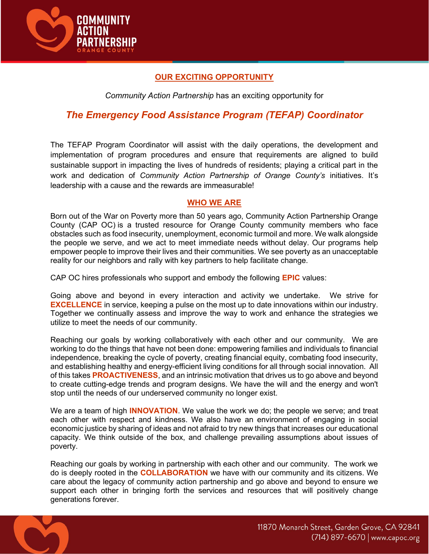

# OUR EXCITING OPPORTUNITY

Community Action Partnership has an exciting opportunity for

# The Emergency Food Assistance Program (TEFAP) Coordinator

The TEFAP Program Coordinator will assist with the daily operations, the development and implementation of program procedures and ensure that requirements are aligned to build sustainable support in impacting the lives of hundreds of residents; playing a critical part in the work and dedication of Community Action Partnership of Orange County's initiatives. It's leadership with a cause and the rewards are immeasurable!

### WHO WE ARE

Born out of the War on Poverty more than 50 years ago, Community Action Partnership Orange County (CAP OC) is a trusted resource for Orange County community members who face obstacles such as food insecurity, unemployment, economic turmoil and more. We walk alongside the people we serve, and we act to meet immediate needs without delay. Our programs help empower people to improve their lives and their communities. We see poverty as an unacceptable reality for our neighbors and rally with key partners to help facilitate change.

CAP OC hires professionals who support and embody the following **EPIC** values:

Going above and beyond in every interaction and activity we undertake. We strive for EXCELLENCE in service, keeping a pulse on the most up to date innovations within our industry. Together we continually assess and improve the way to work and enhance the strategies we utilize to meet the needs of our community.

Reaching our goals by working collaboratively with each other and our community. We are working to do the things that have not been done: empowering families and individuals to financial independence, breaking the cycle of poverty, creating financial equity, combating food insecurity, and establishing healthy and energy-efficient living conditions for all through social innovation. All of this takes PROACTIVENESS, and an intrinsic motivation that drives us to go above and beyond to create cutting-edge trends and program designs. We have the will and the energy and won't stop until the needs of our underserved community no longer exist.

We are a team of high **INNOVATION**. We value the work we do; the people we serve; and treat each other with respect and kindness. We also have an environment of engaging in social economic justice by sharing of ideas and not afraid to try new things that increases our educational capacity. We think outside of the box, and challenge prevailing assumptions about issues of poverty.

Reaching our goals by working in partnership with each other and our community. The work we do is deeply rooted in the COLLABORATION we have with our community and its citizens. We care about the legacy of community action partnership and go above and beyond to ensure we support each other in bringing forth the services and resources that will positively change generations forever.

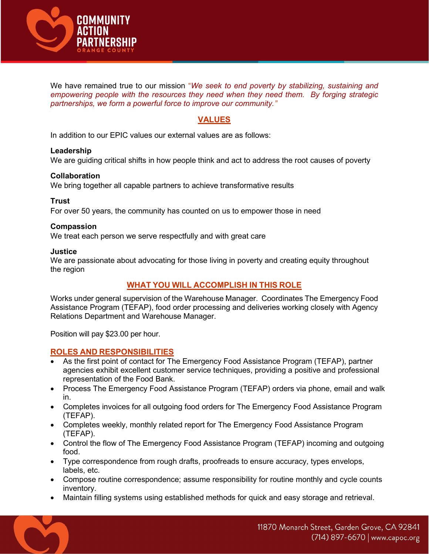

We have remained true to our mission "We seek to end poverty by stabilizing, sustaining and empowering people with the resources they need when they need them. By forging strategic partnerships, we form a powerful force to improve our community."

### VALUES

In addition to our EPIC values our external values are as follows:

#### Leadership

We are guiding critical shifts in how people think and act to address the root causes of poverty

#### Collaboration

We bring together all capable partners to achieve transformative results

#### **Trust**

For over 50 years, the community has counted on us to empower those in need

#### Compassion

We treat each person we serve respectfully and with great care

#### **Justice**

We are passionate about advocating for those living in poverty and creating equity throughout the region

### WHAT YOU WILL ACCOMPLISH IN THIS ROLE

Works under general supervision of the Warehouse Manager. Coordinates The Emergency Food Assistance Program (TEFAP), food order processing and deliveries working closely with Agency Relations Department and Warehouse Manager.

Position will pay \$23.00 per hour.

### ROLES AND RESPONSIBILITIES

- As the first point of contact for The Emergency Food Assistance Program (TEFAP), partner agencies exhibit excellent customer service techniques, providing a positive and professional representation of the Food Bank.
- Process The Emergency Food Assistance Program (TEFAP) orders via phone, email and walk in.
- Completes invoices for all outgoing food orders for The Emergency Food Assistance Program (TEFAP).
- Completes weekly, monthly related report for The Emergency Food Assistance Program (TEFAP).
- Control the flow of The Emergency Food Assistance Program (TEFAP) incoming and outgoing food.
- Type correspondence from rough drafts, proofreads to ensure accuracy, types envelops, labels, etc.
- Compose routine correspondence; assume responsibility for routine monthly and cycle counts inventory.
- Maintain filling systems using established methods for quick and easy storage and retrieval.

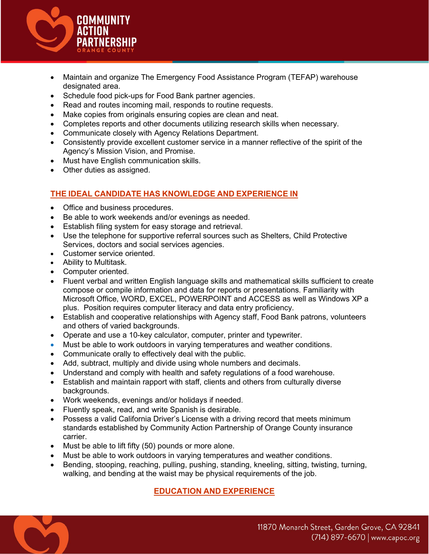

- Maintain and organize The Emergency Food Assistance Program (TEFAP) warehouse designated area.
- Schedule food pick-ups for Food Bank partner agencies.
- Read and routes incoming mail, responds to routine requests.
- Make copies from originals ensuring copies are clean and neat.
- Completes reports and other documents utilizing research skills when necessary.
- Communicate closely with Agency Relations Department.
- Consistently provide excellent customer service in a manner reflective of the spirit of the Agency's Mission Vision, and Promise.
- Must have English communication skills.
- Other duties as assigned.

### THE IDEAL CANDIDATE HAS KNOWLEDGE AND EXPERIENCE IN

- Office and business procedures.
- Be able to work weekends and/or evenings as needed.
- Establish filing system for easy storage and retrieval.
- Use the telephone for supportive referral sources such as Shelters, Child Protective Services, doctors and social services agencies.
- Customer service oriented.
- Ability to Multitask.
- Computer oriented.
- Fluent verbal and written English language skills and mathematical skills sufficient to create compose or compile information and data for reports or presentations. Familiarity with Microsoft Office, WORD, EXCEL, POWERPOINT and ACCESS as well as Windows XP a plus. Position requires computer literacy and data entry proficiency.
- Establish and cooperative relationships with Agency staff, Food Bank patrons, volunteers and others of varied backgrounds.
- Operate and use a 10-key calculator, computer, printer and typewriter.
- Must be able to work outdoors in varying temperatures and weather conditions.
- Communicate orally to effectively deal with the public.
- Add, subtract, multiply and divide using whole numbers and decimals.
- Understand and comply with health and safety regulations of a food warehouse.
- Establish and maintain rapport with staff, clients and others from culturally diverse backgrounds.
- Work weekends, evenings and/or holidays if needed.
- Fluently speak, read, and write Spanish is desirable.
- Possess a valid California Driver's License with a driving record that meets minimum standards established by Community Action Partnership of Orange County insurance carrier.
- Must be able to lift fifty (50) pounds or more alone.
- Must be able to work outdoors in varying temperatures and weather conditions.
- Bending, stooping, reaching, pulling, pushing, standing, kneeling, sitting, twisting, turning, walking, and bending at the waist may be physical requirements of the job.

## EDUCATION AND EXPERIENCE